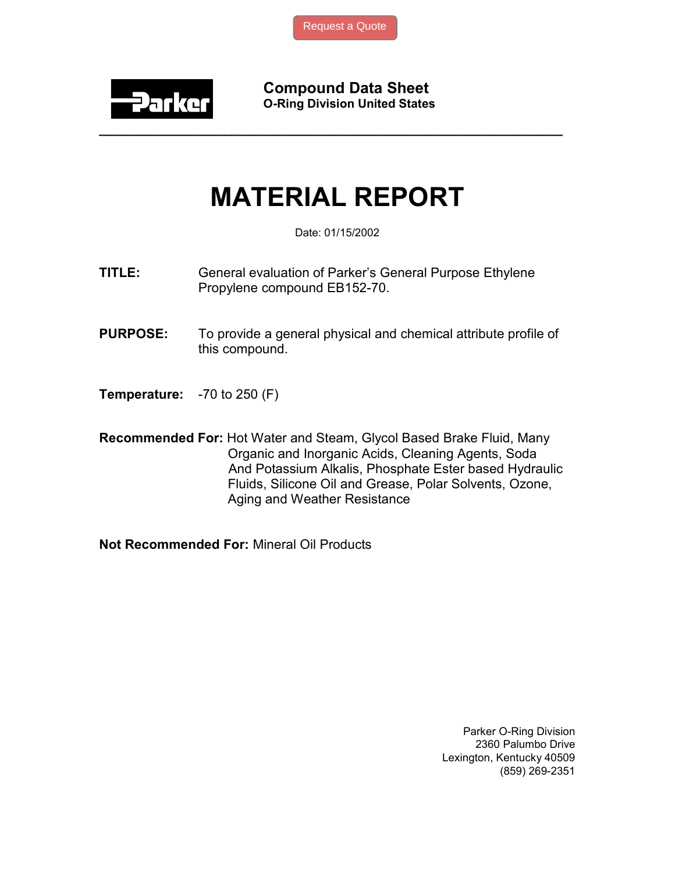

Compound Data Sheet O-Ring Division United States

## MATERIAL REPORT

\_\_\_\_\_\_\_\_\_\_\_\_\_\_\_\_\_\_\_\_\_\_\_\_\_\_\_\_\_\_\_\_\_\_\_\_\_\_\_\_\_\_\_\_\_\_\_\_\_\_\_\_\_\_\_\_\_\_\_\_\_\_\_

Date: 01/15/2002

- TITLE: General evaluation of Parker's General Purpose Ethylene Propylene compound EB152-70.
- PURPOSE: To provide a general physical and chemical attribute profile of this compound.
- Temperature: -70 to 250 (F)
- Recommended For: Hot Water and Steam, Glycol Based Brake Fluid, Many Organic and Inorganic Acids, Cleaning Agents, Soda And Potassium Alkalis, Phosphate Ester based Hydraulic Fluids, Silicone Oil and Grease, Polar Solvents, Ozone, Aging and Weather Resistance

Not Recommended For: Mineral Oil Products

Parker O-Ring Division 2360 Palumbo Drive Lexington, Kentucky 40509 (859) 269-2351